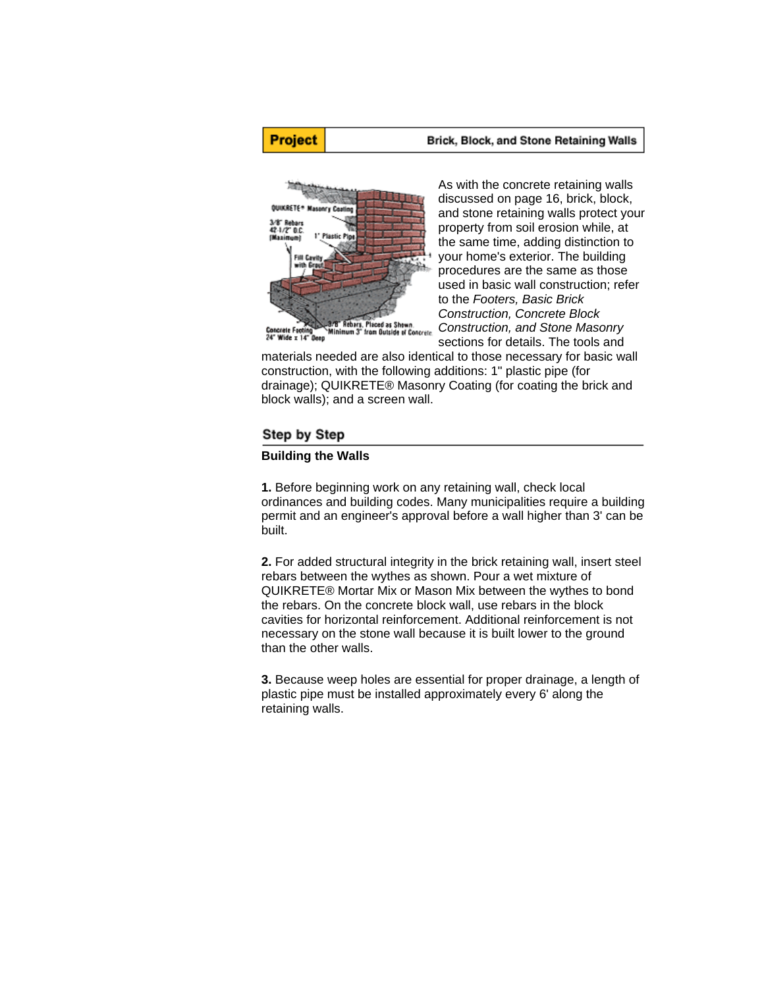## **Project**

## Brick, Block, and Stone Retaining Walls



As with the concrete retaining walls discussed on page 16, brick, block, and stone retaining walls protect your property from soil erosion while, at the same time, adding distinction to your home's exterior. The building procedures are the same as those used in basic wall construction; refer to the *Footers, Basic Brick Construction, Concrete Block Construction, and Stone Masonry* sections for details. The tools and

materials needed are also identical to those necessary for basic wall construction, with the following additions: 1" plastic pipe (for drainage); QUIKRETE® Masonry Coating (for coating the brick and block walls); and a screen wall.

## Step by Step

## **Building the Walls**

**1.** Before beginning work on any retaining wall, check local ordinances and building codes. Many municipalities require a building permit and an engineer's approval before a wall higher than 3' can be built.

**2.** For added structural integrity in the brick retaining wall, insert steel rebars between the wythes as shown. Pour a wet mixture of QUIKRETE® Mortar Mix or Mason Mix between the wythes to bond the rebars. On the concrete block wall, use rebars in the block cavities for horizontal reinforcement. Additional reinforcement is not necessary on the stone wall because it is built lower to the ground than the other walls.

**3.** Because weep holes are essential for proper drainage, a length of plastic pipe must be installed approximately every 6' along the retaining walls.